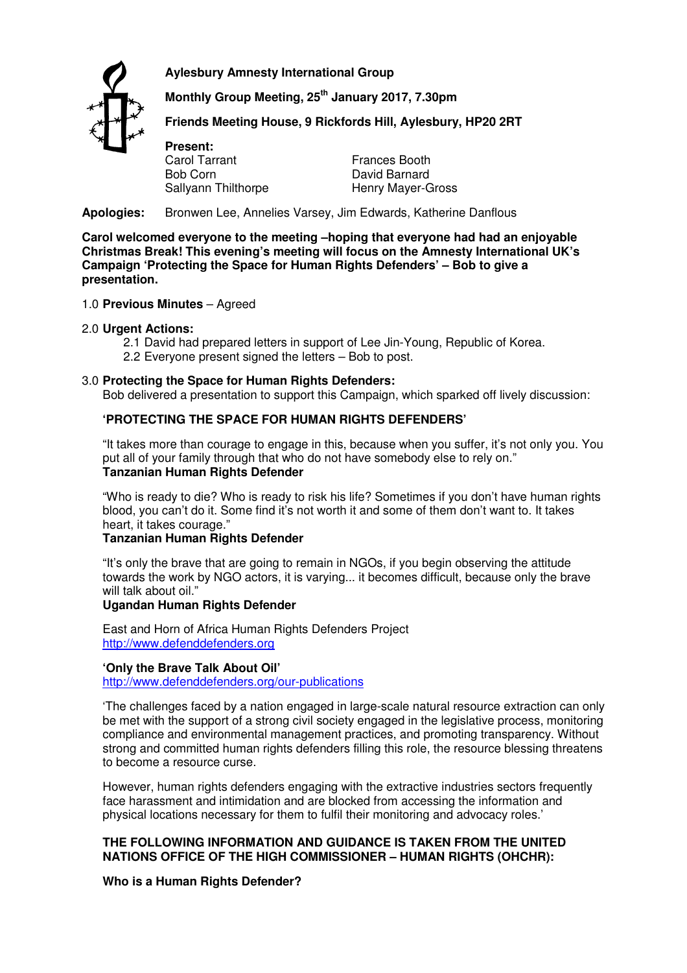**Aylesbury Amnesty International Group** 



 **Monthly Group Meeting, 25th January 2017, 7.30pm** 

 **Friends Meeting House, 9 Rickfords Hill, Aylesbury, HP20 2RT** 

**Present:**  Carol Tarrant Bob Corn Sallyann Thilthorpe

Frances Booth David Barnard Henry Mayer-Gross

**Apologies:** Bronwen Lee, Annelies Varsey, Jim Edwards, Katherine Danflous

**Carol welcomed everyone to the meeting –hoping that everyone had had an enjoyable Christmas Break! This evening's meeting will focus on the Amnesty International UK's Campaign 'Protecting the Space for Human Rights Defenders' – Bob to give a presentation.** 

### 1.0 **Previous Minutes** – Agreed

### 2.0 **Urgent Actions:**

- 2.1 David had prepared letters in support of Lee Jin-Young, Republic of Korea.
- 2.2 Everyone present signed the letters Bob to post.

## 3.0 **Protecting the Space for Human Rights Defenders:**

Bob delivered a presentation to support this Campaign, which sparked off lively discussion:

# **'PROTECTING THE SPACE FOR HUMAN RIGHTS DEFENDERS'**

"It takes more than courage to engage in this, because when you suffer, it's not only you. You put all of your family through that who do not have somebody else to rely on." **Tanzanian Human Rights Defender** 

"Who is ready to die? Who is ready to risk his life? Sometimes if you don't have human rights blood, you can't do it. Some find it's not worth it and some of them don't want to. It takes heart, it takes courage."

## **Tanzanian Human Rights Defender**

"It's only the brave that are going to remain in NGOs, if you begin observing the attitude towards the work by NGO actors, it is varying... it becomes difficult, because only the brave will talk about oil."

### **Ugandan Human Rights Defender**

East and Horn of Africa Human Rights Defenders Project http://www.defenddefenders.org

### **'Only the Brave Talk About Oil'**

http://www.defenddefenders.org/our-publications

'The challenges faced by a nation engaged in large-scale natural resource extraction can only be met with the support of a strong civil society engaged in the legislative process, monitoring compliance and environmental management practices, and promoting transparency. Without strong and committed human rights defenders filling this role, the resource blessing threatens to become a resource curse.

However, human rights defenders engaging with the extractive industries sectors frequently face harassment and intimidation and are blocked from accessing the information and physical locations necessary for them to fulfil their monitoring and advocacy roles.'

## **THE FOLLOWING INFORMATION AND GUIDANCE IS TAKEN FROM THE UNITED NATIONS OFFICE OF THE HIGH COMMISSIONER – HUMAN RIGHTS (OHCHR):**

### **Who is a Human Rights Defender?**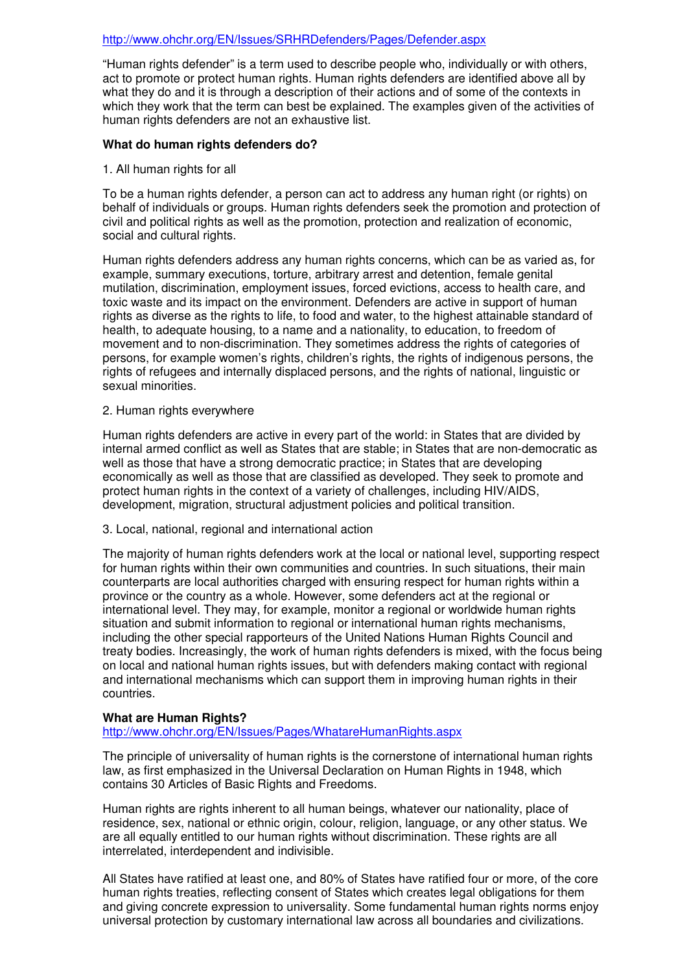#### http://www.ohchr.org/EN/Issues/SRHRDefenders/Pages/Defender.aspx

"Human rights defender" is a term used to describe people who, individually or with others, act to promote or protect human rights. Human rights defenders are identified above all by what they do and it is through a description of their actions and of some of the contexts in which they work that the term can best be explained. The examples given of the activities of human rights defenders are not an exhaustive list.

#### **What do human rights defenders do?**

1. All human rights for all

To be a human rights defender, a person can act to address any human right (or rights) on behalf of individuals or groups. Human rights defenders seek the promotion and protection of civil and political rights as well as the promotion, protection and realization of economic, social and cultural rights.

Human rights defenders address any human rights concerns, which can be as varied as, for example, summary executions, torture, arbitrary arrest and detention, female genital mutilation, discrimination, employment issues, forced evictions, access to health care, and toxic waste and its impact on the environment. Defenders are active in support of human rights as diverse as the rights to life, to food and water, to the highest attainable standard of health, to adequate housing, to a name and a nationality, to education, to freedom of movement and to non-discrimination. They sometimes address the rights of categories of persons, for example women's rights, children's rights, the rights of indigenous persons, the rights of refugees and internally displaced persons, and the rights of national, linguistic or sexual minorities.

#### 2. Human rights everywhere

Human rights defenders are active in every part of the world: in States that are divided by internal armed conflict as well as States that are stable; in States that are non-democratic as well as those that have a strong democratic practice; in States that are developing economically as well as those that are classified as developed. They seek to promote and protect human rights in the context of a variety of challenges, including HIV/AIDS, development, migration, structural adjustment policies and political transition.

#### 3. Local, national, regional and international action

The majority of human rights defenders work at the local or national level, supporting respect for human rights within their own communities and countries. In such situations, their main counterparts are local authorities charged with ensuring respect for human rights within a province or the country as a whole. However, some defenders act at the regional or international level. They may, for example, monitor a regional or worldwide human rights situation and submit information to regional or international human rights mechanisms, including the other special rapporteurs of the United Nations Human Rights Council and treaty bodies. Increasingly, the work of human rights defenders is mixed, with the focus being on local and national human rights issues, but with defenders making contact with regional and international mechanisms which can support them in improving human rights in their countries.

### **What are Human Rights?**

http://www.ohchr.org/EN/Issues/Pages/WhatareHumanRights.aspx

The principle of universality of human rights is the cornerstone of international human rights law, as first emphasized in the Universal Declaration on Human Rights in 1948, which contains 30 Articles of Basic Rights and Freedoms.

Human rights are rights inherent to all human beings, whatever our nationality, place of residence, sex, national or ethnic origin, colour, religion, language, or any other status. We are all equally entitled to our human rights without discrimination. These rights are all interrelated, interdependent and indivisible.

All States have ratified at least one, and 80% of States have ratified four or more, of the core human rights treaties, reflecting consent of States which creates legal obligations for them and giving concrete expression to universality. Some fundamental human rights norms enjoy universal protection by customary international law across all boundaries and civilizations.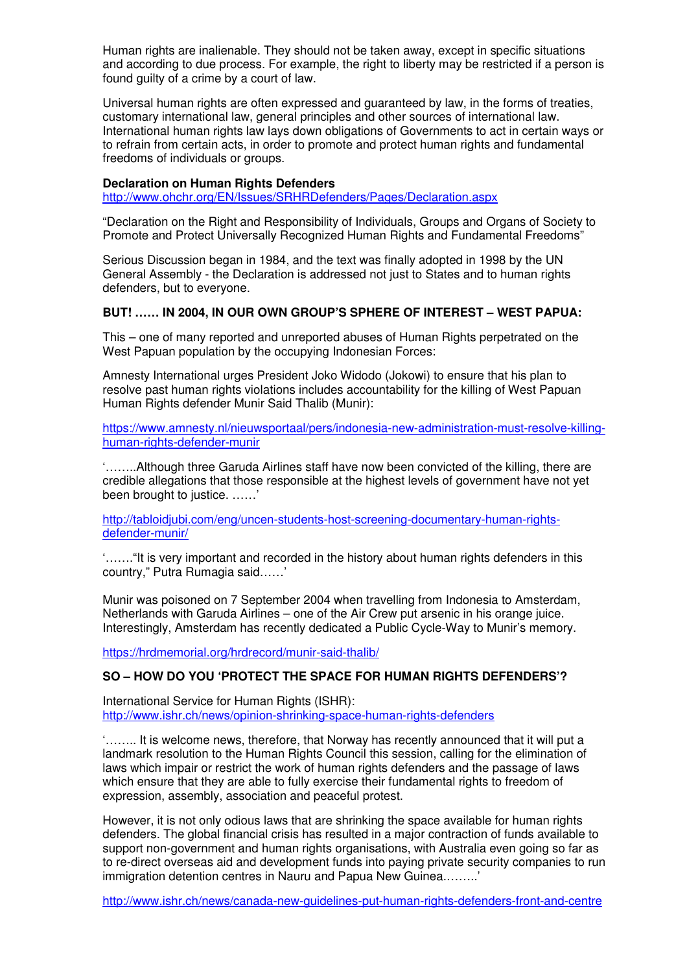Human rights are inalienable. They should not be taken away, except in specific situations and according to due process. For example, the right to liberty may be restricted if a person is found guilty of a crime by a court of law.

Universal human rights are often expressed and guaranteed by law, in the forms of treaties, customary international law, general principles and other sources of international law. International human rights law lays down obligations of Governments to act in certain ways or to refrain from certain acts, in order to promote and protect human rights and fundamental freedoms of individuals or groups.

# **Declaration on Human Rights Defenders**

http://www.ohchr.org/EN/Issues/SRHRDefenders/Pages/Declaration.aspx

"Declaration on the Right and Responsibility of Individuals, Groups and Organs of Society to Promote and Protect Universally Recognized Human Rights and Fundamental Freedoms"

Serious Discussion began in 1984, and the text was finally adopted in 1998 by the UN General Assembly - the Declaration is addressed not just to States and to human rights defenders, but to everyone.

## **BUT! …… IN 2004, IN OUR OWN GROUP'S SPHERE OF INTEREST – WEST PAPUA:**

This – one of many reported and unreported abuses of Human Rights perpetrated on the West Papuan population by the occupying Indonesian Forces:

Amnesty International urges President Joko Widodo (Jokowi) to ensure that his plan to resolve past human rights violations includes accountability for the killing of West Papuan Human Rights defender Munir Said Thalib (Munir):

https://www.amnesty.nl/nieuwsportaal/pers/indonesia-new-administration-must-resolve-killinghuman-rights-defender-munir

'……..Although three Garuda Airlines staff have now been convicted of the killing, there are credible allegations that those responsible at the highest levels of government have not yet been brought to justice. ……'

http://tabloidjubi.com/eng/uncen-students-host-screening-documentary-human-rightsdefender-munir/

'……."It is very important and recorded in the history about human rights defenders in this country," Putra Rumagia said……'

Munir was poisoned on 7 September 2004 when travelling from Indonesia to Amsterdam, Netherlands with Garuda Airlines – one of the Air Crew put arsenic in his orange juice. Interestingly, Amsterdam has recently dedicated a Public Cycle-Way to Munir's memory.

https://hrdmemorial.org/hrdrecord/munir-said-thalib/

## **SO – HOW DO YOU 'PROTECT THE SPACE FOR HUMAN RIGHTS DEFENDERS'?**

International Service for Human Rights (ISHR): http://www.ishr.ch/news/opinion-shrinking-space-human-rights-defenders

'…….. It is welcome news, therefore, that Norway has recently announced that it will put a landmark resolution to the Human Rights Council this session, calling for the elimination of laws which impair or restrict the work of human rights defenders and the passage of laws which ensure that they are able to fully exercise their fundamental rights to freedom of expression, assembly, association and peaceful protest.

However, it is not only odious laws that are shrinking the space available for human rights defenders. The global financial crisis has resulted in a major contraction of funds available to support non-government and human rights organisations, with Australia even going so far as to re-direct overseas aid and development funds into paying private security companies to run immigration detention centres in Nauru and Papua New Guinea.……..'

http://www.ishr.ch/news/canada-new-guidelines-put-human-rights-defenders-front-and-centre